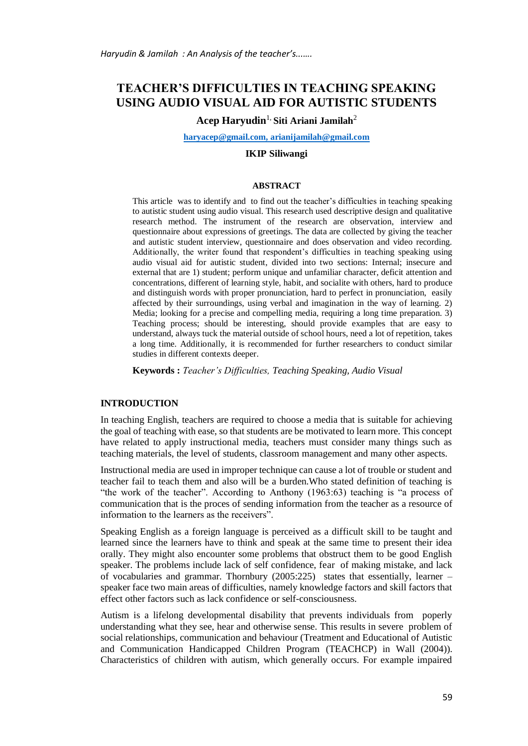# **TEACHER'S DIFFICULTIES IN TEACHING SPEAKING USING AUDIO VISUAL AID FOR AUTISTIC STUDENTS**

# **Acep Haryudin**1, **Siti Ariani Jamilah**<sup>2</sup>

**[haryacep@gmail.com,](mailto:haryacep@gmail.com) [arianijamilah@gmail.com](mailto:arianijamilah@gmail.com)**

#### **IKIP Siliwangi**

#### **ABSTRACT**

This article was to identify and to find out the teacher's difficulties in teaching speaking to autistic student using audio visual. This research used descriptive design and qualitative research method. The instrument of the research are observation, interview and questionnaire about expressions of greetings. The data are collected by giving the teacher and autistic student interview, questionnaire and does observation and video recording. Additionally, the writer found that respondent's difficulties in teaching speaking using audio visual aid for autistic student, divided into two sections: Internal; insecure and external that are 1) student; perform unique and unfamiliar character, deficit attention and concentrations, different of learning style, habit, and socialite with others, hard to produce and distinguish words with proper pronunciation, hard to perfect in pronunciation, easily affected by their surroundings, using verbal and imagination in the way of learning. 2) Media; looking for a precise and compelling media, requiring a long time preparation. 3) Teaching process; should be interesting, should provide examples that are easy to understand, always tuck the material outside of school hours, need a lot of repetition, takes a long time. Additionally, it is recommended for further researchers to conduct similar studies in different contexts deeper.

**Keywords :** *Teacher's Difficulties, Teaching Speaking, Audio Visual*

#### **INTRODUCTION**

In teaching English, teachers are required to choose a media that is suitable for achieving the goal of teaching with ease, so that students are be motivated to learn more. This concept have related to apply instructional media, teachers must consider many things such as teaching materials, the level of students, classroom management and many other aspects.

Instructional media are used in improper technique can cause a lot of trouble or student and teacher fail to teach them and also will be a burden.Who stated definition of teaching is "the work of the teacher". According to Anthony (1963:63) teaching is "a process of communication that is the proces of sending information from the teacher as a resource of information to the learners as the receivers".

Speaking English as a foreign language is perceived as a difficult skill to be taught and learned since the learners have to think and speak at the same time to present their idea orally. They might also encounter some problems that obstruct them to be good English speaker. The problems include lack of self confidence, fear of making mistake, and lack of vocabularies and grammar. Thornbury (2005:225) states that essentially, learner – speaker face two main areas of difficulties, namely knowledge factors and skill factors that effect other factors such as lack confidence or self-consciousness.

Autism is a lifelong developmental disability that prevents individuals from poperly understanding what they see, hear and otherwise sense. This results in severe problem of social relationships, communication and behaviour (Treatment and Educational of Autistic and Communication Handicapped Children Program (TEACHCP) in Wall (2004)). Characteristics of children with autism, which generally occurs. For example impaired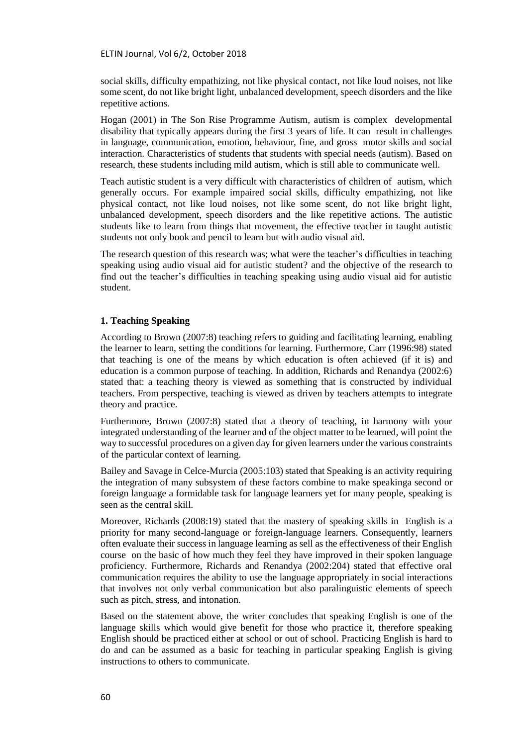ELTIN Journal, Vol 6/2, October 2018

social skills, difficulty empathizing, not like physical contact, not like loud noises, not like some scent, do not like bright light, unbalanced development, speech disorders and the like repetitive actions.

Hogan (2001) in The Son Rise Programme Autism, autism is complex developmental disability that typically appears during the first 3 years of life. It can result in challenges in language, communication, emotion, behaviour, fine, and gross motor skills and social interaction. Characteristics of students that students with special needs (autism). Based on research, these students including mild autism, which is still able to communicate well.

Teach autistic student is a very difficult with characteristics of children of autism, which generally occurs. For example impaired social skills, difficulty empathizing, not like physical contact, not like loud noises, not like some scent, do not like bright light, unbalanced development, speech disorders and the like repetitive actions. The autistic students like to learn from things that movement, the effective teacher in taught autistic students not only book and pencil to learn but with audio visual aid.

The research question of this research was; what were the teacher's difficulties in teaching speaking using audio visual aid for autistic student? and the objective of the research to find out the teacher's difficulties in teaching speaking using audio visual aid for autistic student.

### **1. Teaching Speaking**

According to Brown (2007:8) teaching refers to guiding and facilitating learning, enabling the learner to learn, setting the conditions for learning. Furthermore, Carr (1996:98) stated that teaching is one of the means by which education is often achieved (if it is) and education is a common purpose of teaching. In addition, Richards and Renandya (2002:6) stated that: a teaching theory is viewed as something that is constructed by individual teachers. From perspective, teaching is viewed as driven by teachers attempts to integrate theory and practice.

Furthermore, Brown (2007:8) stated that a theory of teaching, in harmony with your integrated understanding of the learner and of the object matter to be learned, will point the way to successful procedures on a given day for given learners under the various constraints of the particular context of learning.

Bailey and Savage in Celce-Murcia (2005:103) stated that Speaking is an activity requiring the integration of many subsystem of these factors combine to make speakinga second or foreign language a formidable task for language learners yet for many people, speaking is seen as the central skill.

Moreover, Richards (2008:19) stated that the mastery of speaking skills in English is a priority for many second-language or foreign-language learners. Consequently, learners often evaluate their success in language learning as sell as the effectiveness of their English course on the basic of how much they feel they have improved in their spoken language proficiency. Furthermore, Richards and Renandya (2002:204) stated that effective oral communication requires the ability to use the language appropriately in social interactions that involves not only verbal communication but also paralinguistic elements of speech such as pitch, stress, and intonation.

Based on the statement above, the writer concludes that speaking English is one of the language skills which would give benefit for those who practice it, therefore speaking English should be practiced either at school or out of school. Practicing English is hard to do and can be assumed as a basic for teaching in particular speaking English is giving instructions to others to communicate.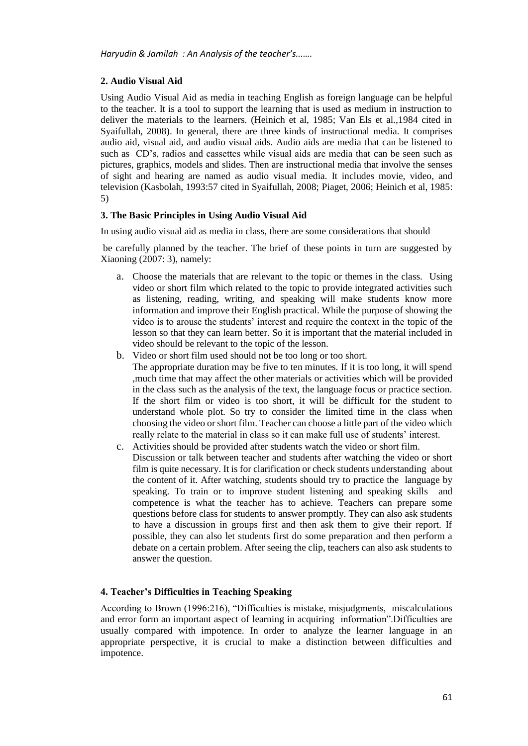# **2. Audio Visual Aid**

Using Audio Visual Aid as media in teaching English as foreign language can be helpful to the teacher. It is a tool to support the learning that is used as medium in instruction to deliver the materials to the learners. (Heinich et al, 1985; Van Els et al.,1984 cited in Syaifullah, 2008). In general, there are three kinds of instructional media. It comprises audio aid, visual aid, and audio visual aids. Audio aids are media that can be listened to such as CD's, radios and cassettes while visual aids are media that can be seen such as pictures, graphics, models and slides. Then are instructional media that involve the senses of sight and hearing are named as audio visual media. It includes movie, video, and television (Kasbolah, 1993:57 cited in Syaifullah, 2008; Piaget, 2006; Heinich et al, 1985: 5)

# **3. The Basic Principles in Using Audio Visual Aid**

In using audio visual aid as media in class, there are some considerations that should

be carefully planned by the teacher. The brief of these points in turn are suggested by Xiaoning (2007: 3), namely:

- a. Choose the materials that are relevant to the topic or themes in the class. Using video or short film which related to the topic to provide integrated activities such as listening, reading, writing, and speaking will make students know more information and improve their English practical. While the purpose of showing the video is to arouse the students' interest and require the context in the topic of the lesson so that they can learn better. So it is important that the material included in video should be relevant to the topic of the lesson.
- b. Video or short film used should not be too long or too short.
	- The appropriate duration may be five to ten minutes. If it is too long, it will spend ,much time that may affect the other materials or activities which will be provided in the class such as the analysis of the text, the language focus or practice section. If the short film or video is too short, it will be difficult for the student to understand whole plot. So try to consider the limited time in the class when choosing the video or short film. Teacher can choose a little part of the video which really relate to the material in class so it can make full use of students' interest.
- c. Activities should be provided after students watch the video or short film. Discussion or talk between teacher and students after watching the video or short film is quite necessary. It is for clarification or check students understanding about the content of it. After watching, students should try to practice the language by speaking. To train or to improve student listening and speaking skills and competence is what the teacher has to achieve. Teachers can prepare some questions before class for students to answer promptly. They can also ask students to have a discussion in groups first and then ask them to give their report. If possible, they can also let students first do some preparation and then perform a debate on a certain problem. After seeing the clip, teachers can also ask students to answer the question.

# **4. Teacher's Difficulties in Teaching Speaking**

According to Brown (1996:216), "Difficulties is mistake, misjudgments, miscalculations and error form an important aspect of learning in acquiring information".Difficulties are usually compared with impotence. In order to analyze the learner language in an appropriate perspective, it is crucial to make a distinction between difficulties and impotence.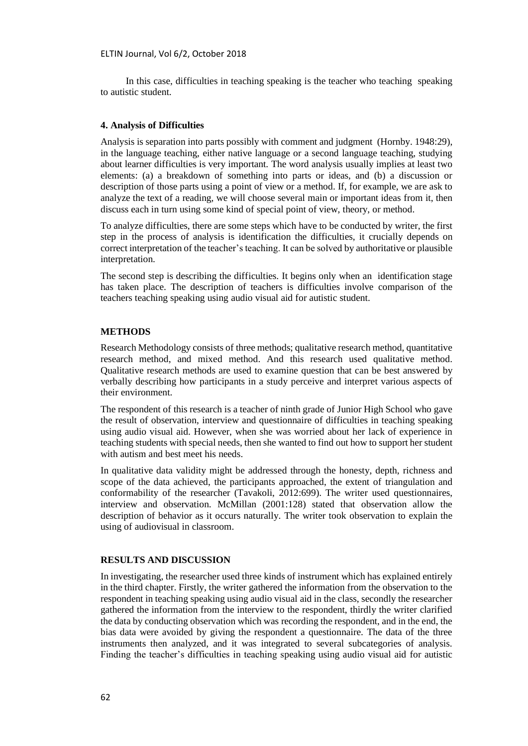In this case, difficulties in teaching speaking is the teacher who teaching speaking to autistic student.

### **4. Analysis of Difficulties**

Analysis is separation into parts possibly with comment and judgment (Hornby. 1948:29), in the language teaching, either native language or a second language teaching, studying about learner difficulties is very important. The word analysis usually implies at least two elements: (a) a breakdown of something into parts or ideas, and (b) a discussion or description of those parts using a point of view or a method. If, for example, we are ask to analyze the text of a reading, we will choose several main or important ideas from it, then discuss each in turn using some kind of special point of view, theory, or method.

To analyze difficulties, there are some steps which have to be conducted by writer, the first step in the process of analysis is identification the difficulties, it crucially depends on correct interpretation of the teacher's teaching. It can be solved by authoritative or plausible interpretation.

The second step is describing the difficulties. It begins only when an identification stage has taken place. The description of teachers is difficulties involve comparison of the teachers teaching speaking using audio visual aid for autistic student.

#### **METHODS**

Research Methodology consists of three methods; qualitative research method, quantitative research method, and mixed method. And this research used qualitative method. Qualitative research methods are used to examine question that can be best answered by verbally describing how participants in a study perceive and interpret various aspects of their environment.

The respondent of this research is a teacher of ninth grade of Junior High School who gave the result of observation, interview and questionnaire of difficulties in teaching speaking using audio visual aid. However, when she was worried about her lack of experience in teaching students with special needs, then she wanted to find out how to support her student with autism and best meet his needs.

In qualitative data validity might be addressed through the honesty, depth, richness and scope of the data achieved, the participants approached, the extent of triangulation and conformability of the researcher (Tavakoli, 2012:699). The writer used questionnaires, interview and observation. McMillan (2001:128) stated that observation allow the description of behavior as it occurs naturally. The writer took observation to explain the using of audiovisual in classroom.

### **RESULTS AND DISCUSSION**

In investigating, the researcher used three kinds of instrument which has explained entirely in the third chapter. Firstly, the writer gathered the information from the observation to the respondent in teaching speaking using audio visual aid in the class, secondly the researcher gathered the information from the interview to the respondent, thirdly the writer clarified the data by conducting observation which was recording the respondent, and in the end, the bias data were avoided by giving the respondent a questionnaire. The data of the three instruments then analyzed, and it was integrated to several subcategories of analysis. Finding the teacher's difficulties in teaching speaking using audio visual aid for autistic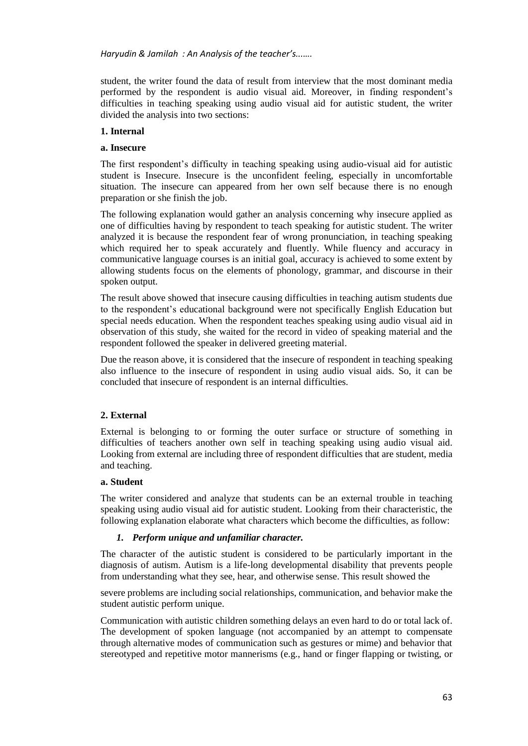student, the writer found the data of result from interview that the most dominant media performed by the respondent is audio visual aid. Moreover, in finding respondent's difficulties in teaching speaking using audio visual aid for autistic student, the writer divided the analysis into two sections:

# **1. Internal**

# **a. Insecure**

The first respondent's difficulty in teaching speaking using audio-visual aid for autistic student is Insecure. Insecure is the unconfident feeling, especially in uncomfortable situation. The insecure can appeared from her own self because there is no enough preparation or she finish the job.

The following explanation would gather an analysis concerning why insecure applied as one of difficulties having by respondent to teach speaking for autistic student. The writer analyzed it is because the respondent fear of wrong pronunciation, in teaching speaking which required her to speak accurately and fluently. While fluency and accuracy in communicative language courses is an initial goal, accuracy is achieved to some extent by allowing students focus on the elements of phonology, grammar, and discourse in their spoken output.

The result above showed that insecure causing difficulties in teaching autism students due to the respondent's educational background were not specifically English Education but special needs education. When the respondent teaches speaking using audio visual aid in observation of this study, she waited for the record in video of speaking material and the respondent followed the speaker in delivered greeting material.

Due the reason above, it is considered that the insecure of respondent in teaching speaking also influence to the insecure of respondent in using audio visual aids. So, it can be concluded that insecure of respondent is an internal difficulties.

# **2. External**

External is belonging to or forming the outer surface or structure of something in difficulties of teachers another own self in teaching speaking using audio visual aid. Looking from external are including three of respondent difficulties that are student, media and teaching.

# **a. Student**

The writer considered and analyze that students can be an external trouble in teaching speaking using audio visual aid for autistic student. Looking from their characteristic, the following explanation elaborate what characters which become the difficulties, as follow:

# *1. Perform unique and unfamiliar character.*

The character of the autistic student is considered to be particularly important in the diagnosis of autism. Autism is a life-long developmental disability that prevents people from understanding what they see, hear, and otherwise sense. This result showed the

severe problems are including social relationships, communication, and behavior make the student autistic perform unique.

Communication with autistic children something delays an even hard to do or total lack of. The development of spoken language (not accompanied by an attempt to compensate through alternative modes of communication such as gestures or mime) and behavior that stereotyped and repetitive motor mannerisms (e.g., hand or finger flapping or twisting, or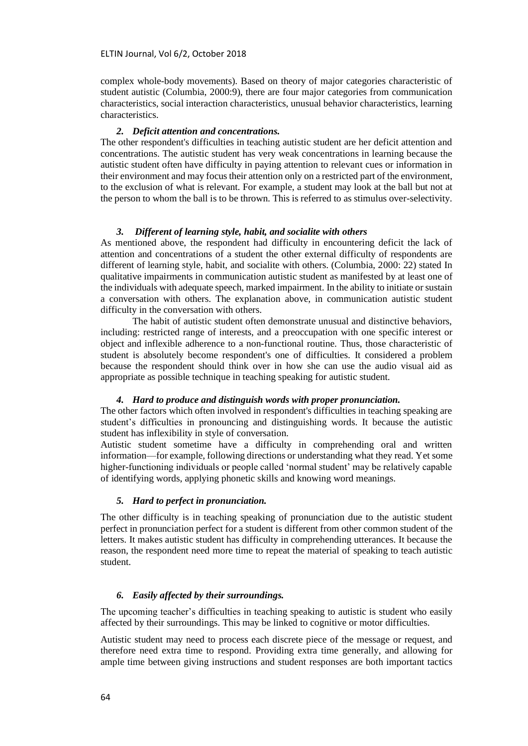complex whole-body movements). Based on theory of major categories characteristic of student autistic (Columbia, 2000:9), there are four major categories from communication characteristics, social interaction characteristics, unusual behavior characteristics, learning characteristics.

#### *2. Deficit attention and concentrations.*

The other respondent's difficulties in teaching autistic student are her deficit attention and concentrations. The autistic student has very weak concentrations in learning because the autistic student often have difficulty in paying attention to relevant cues or information in their environment and may focus their attention only on a restricted part of the environment, to the exclusion of what is relevant. For example, a student may look at the ball but not at the person to whom the ball is to be thrown. This is referred to as stimulus over-selectivity.

#### *3. Different of learning style, habit, and socialite with others*

As mentioned above, the respondent had difficulty in encountering deficit the lack of attention and concentrations of a student the other external difficulty of respondents are different of learning style, habit, and socialite with others. (Columbia, 2000: 22) stated In qualitative impairments in communication autistic student as manifested by at least one of the individuals with adequate speech, marked impairment. In the ability to initiate or sustain a conversation with others. The explanation above, in communication autistic student difficulty in the conversation with others.

The habit of autistic student often demonstrate unusual and distinctive behaviors, including: restricted range of interests, and a preoccupation with one specific interest or object and inflexible adherence to a non-functional routine. Thus, those characteristic of student is absolutely become respondent's one of difficulties. It considered a problem because the respondent should think over in how she can use the audio visual aid as appropriate as possible technique in teaching speaking for autistic student.

#### *4. Hard to produce and distinguish words with proper pronunciation.*

The other factors which often involved in respondent's difficulties in teaching speaking are student's difficulties in pronouncing and distinguishing words. It because the autistic student has inflexibility in style of conversation.

Autistic student sometime have a difficulty in comprehending oral and written information—for example, following directions or understanding what they read. Yet some higher-functioning individuals or people called 'normal student' may be relatively capable of identifying words, applying phonetic skills and knowing word meanings.

### *5. Hard to perfect in pronunciation.*

The other difficulty is in teaching speaking of pronunciation due to the autistic student perfect in pronunciation perfect for a student is different from other common student of the letters. It makes autistic student has difficulty in comprehending utterances. It because the reason, the respondent need more time to repeat the material of speaking to teach autistic student.

#### *6. Easily affected by their surroundings.*

The upcoming teacher's difficulties in teaching speaking to autistic is student who easily affected by their surroundings. This may be linked to cognitive or motor difficulties.

Autistic student may need to process each discrete piece of the message or request, and therefore need extra time to respond. Providing extra time generally, and allowing for ample time between giving instructions and student responses are both important tactics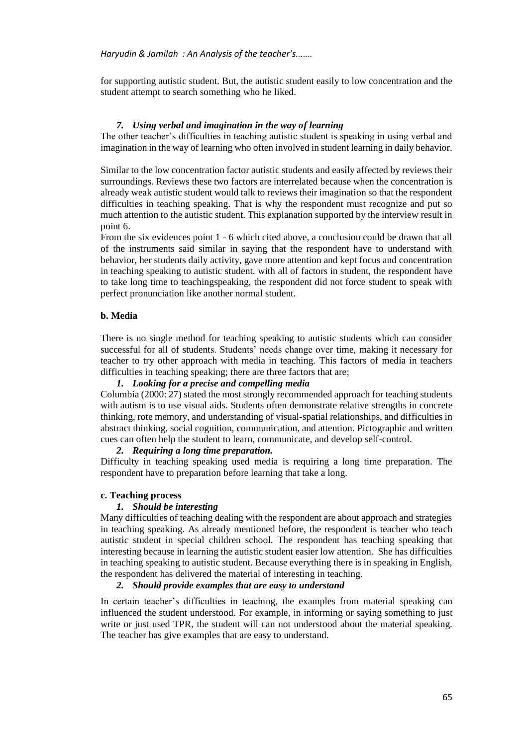for supporting autistic student. But, the autistic student easily to low concentration and the student attempt to search something who he liked.

### *7. Using verbal and imagination in the way of learning*

The other teacher's difficulties in teaching autistic student is speaking in using verbal and imagination in the way of learning who often involved in student learning in daily behavior.

Similar to the low concentration factor autistic students and easily affected by reviews their surroundings. Reviews these two factors are interrelated because when the concentration is already weak autistic student would talk to reviews their imagination so that the respondent difficulties in teaching speaking. That is why the respondent must recognize and put so much attention to the autistic student. This explanation supported by the interview result in point 6.

From the six evidences point 1 - 6 which cited above, a conclusion could be drawn that all of the instruments said similar in saying that the respondent have to understand with behavior, her students daily activity, gave more attention and kept focus and concentration in teaching speaking to autistic student. with all of factors in student, the respondent have to take long time to teachingspeaking, the respondent did not force student to speak with perfect pronunciation like another normal student.

### **b. Media**

There is no single method for teaching speaking to autistic students which can consider successful for all of students. Students' needs change over time, making it necessary for teacher to try other approach with media in teaching. This factors of media in teachers difficulties in teaching speaking; there are three factors that are;

### *1. Looking for a precise and compelling media*

Columbia (2000: 27) stated the most strongly recommended approach for teaching students with autism is to use visual aids. Students often demonstrate relative strengths in concrete thinking, rote memory, and understanding of visual-spatial relationships, and difficulties in abstract thinking, social cognition, communication, and attention. Pictographic and written cues can often help the student to learn, communicate, and develop self-control.

#### *2. Requiring a long time preparation.*

Difficulty in teaching speaking used media is requiring a long time preparation. The respondent have to preparation before learning that take a long.

#### **c. Teaching process**

#### *1. Should be interesting*

Many difficulties of teaching dealing with the respondent are about approach and strategies in teaching speaking. As already mentioned before, the respondent is teacher who teach autistic student in special children school. The respondent has teaching speaking that interesting because in learning the autistic student easier low attention. She has difficulties in teaching speaking to autistic student. Because everything there is in speaking in English, the respondent has delivered the material of interesting in teaching.

#### *2. Should provide examples that are easy to understand*

In certain teacher's difficulties in teaching, the examples from material speaking can influenced the student understood. For example, in informing or saying something to just write or just used TPR, the student will can not understood about the material speaking. The teacher has give examples that are easy to understand.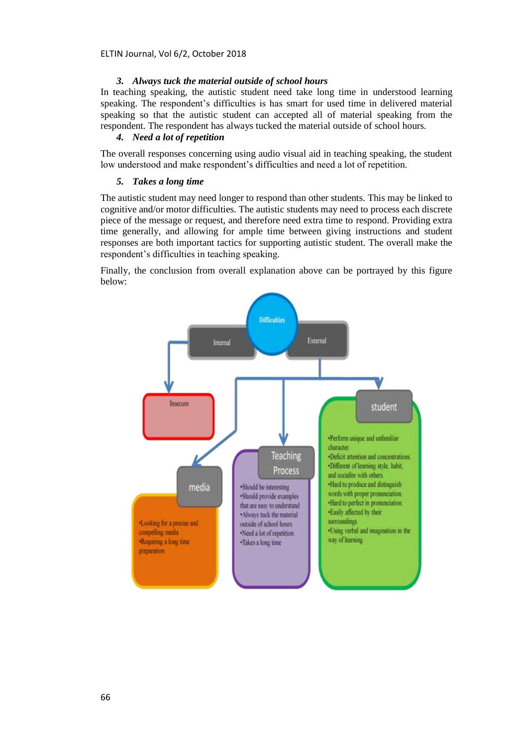ELTIN Journal, Vol 6/2, October 2018

#### *3. Always tuck the material outside of school hours*

In teaching speaking, the autistic student need take long time in understood learning speaking. The respondent's difficulties is has smart for used time in delivered material speaking so that the autistic student can accepted all of material speaking from the respondent. The respondent has always tucked the material outside of school hours.

# *4. Need a lot of repetition*

The overall responses concerning using audio visual aid in teaching speaking, the student low understood and make respondent's difficulties and need a lot of repetition.

### *5. Takes a long time*

The autistic student may need longer to respond than other students. This may be linked to cognitive and/or motor difficulties. The autistic students may need to process each discrete piece of the message or request, and therefore need extra time to respond. Providing extra time generally, and allowing for ample time between giving instructions and student responses are both important tactics for supporting autistic student. The overall make the respondent's difficulties in teaching speaking.

Finally, the conclusion from overall explanation above can be portrayed by this figure below:

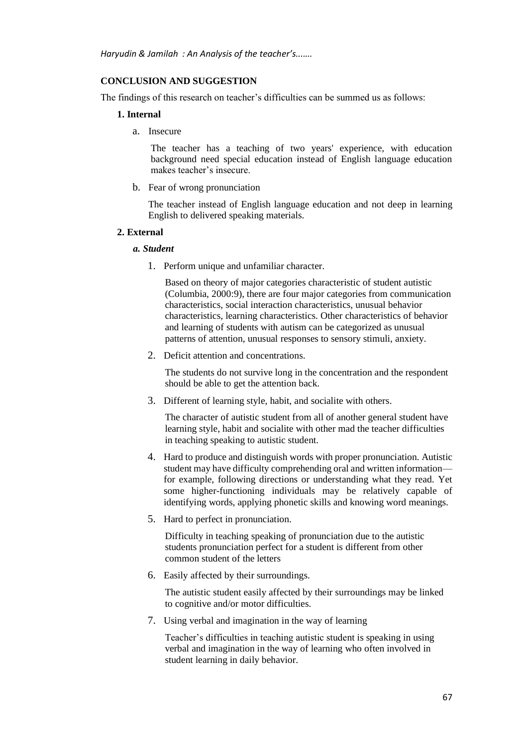### **CONCLUSION AND SUGGESTION**

The findings of this research on teacher's difficulties can be summed us as follows:

#### **1. Internal**

a. Insecure

The teacher has a teaching of two years' experience, with education background need special education instead of English language education makes teacher's insecure.

b. Fear of wrong pronunciation

The teacher instead of English language education and not deep in learning English to delivered speaking materials.

#### **2. External**

#### *a. Student*

1. Perform unique and unfamiliar character.

Based on theory of major categories characteristic of student autistic (Columbia, 2000:9), there are four major categories from communication characteristics, social interaction characteristics, unusual behavior characteristics, learning characteristics. Other characteristics of behavior and learning of students with autism can be categorized as unusual patterns of attention, unusual responses to sensory stimuli, anxiety.

2. Deficit attention and concentrations.

The students do not survive long in the concentration and the respondent should be able to get the attention back.

3. Different of learning style, habit, and socialite with others.

The character of autistic student from all of another general student have learning style, habit and socialite with other mad the teacher difficulties in teaching speaking to autistic student.

- 4. Hard to produce and distinguish words with proper pronunciation. Autistic student may have difficulty comprehending oral and written information for example, following directions or understanding what they read. Yet some higher-functioning individuals may be relatively capable of identifying words, applying phonetic skills and knowing word meanings.
- 5. Hard to perfect in pronunciation.

Difficulty in teaching speaking of pronunciation due to the autistic students pronunciation perfect for a student is different from other common student of the letters

6. Easily affected by their surroundings.

The autistic student easily affected by their surroundings may be linked to cognitive and/or motor difficulties.

7. Using verbal and imagination in the way of learning

Teacher's difficulties in teaching autistic student is speaking in using verbal and imagination in the way of learning who often involved in student learning in daily behavior.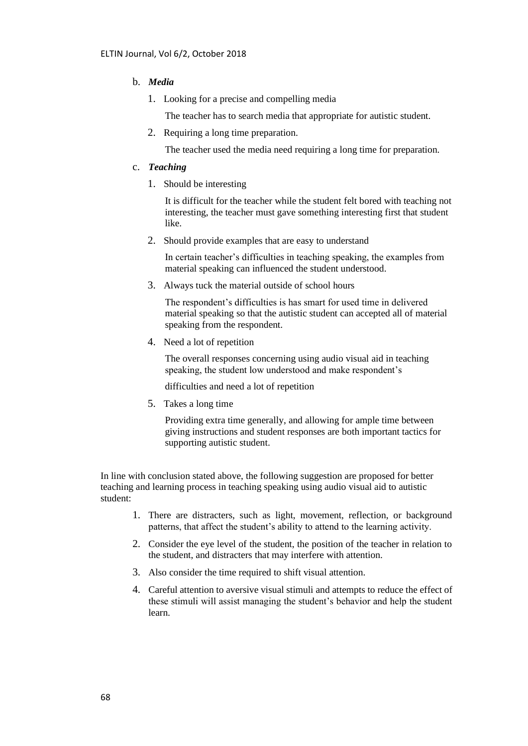# b. *Media*

1. Looking for a precise and compelling media

The teacher has to search media that appropriate for autistic student.

2. Requiring a long time preparation.

The teacher used the media need requiring a long time for preparation.

#### c. *Teaching*

1. Should be interesting

It is difficult for the teacher while the student felt bored with teaching not interesting, the teacher must gave something interesting first that student like.

2. Should provide examples that are easy to understand

In certain teacher's difficulties in teaching speaking, the examples from material speaking can influenced the student understood.

3. Always tuck the material outside of school hours

The respondent's difficulties is has smart for used time in delivered material speaking so that the autistic student can accepted all of material speaking from the respondent.

4. Need a lot of repetition

The overall responses concerning using audio visual aid in teaching speaking, the student low understood and make respondent's

difficulties and need a lot of repetition

5. Takes a long time

Providing extra time generally, and allowing for ample time between giving instructions and student responses are both important tactics for supporting autistic student.

In line with conclusion stated above, the following suggestion are proposed for better teaching and learning process in teaching speaking using audio visual aid to autistic student:

- 1. There are distracters, such as light, movement, reflection, or background patterns, that affect the student's ability to attend to the learning activity.
- 2. Consider the eye level of the student, the position of the teacher in relation to the student, and distracters that may interfere with attention.
- 3. Also consider the time required to shift visual attention.
- 4. Careful attention to aversive visual stimuli and attempts to reduce the effect of these stimuli will assist managing the student's behavior and help the student learn.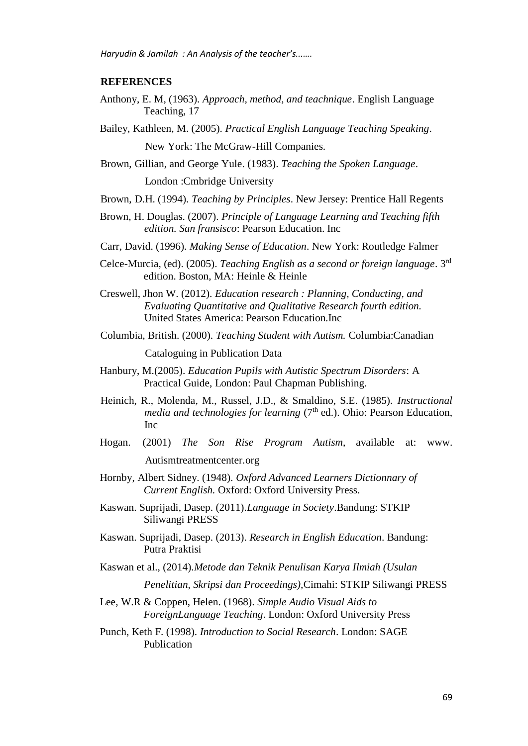# **REFERENCES**

- Anthony, E. M, (1963). *Approach, method, and teachnique*. English Language Teaching, 17
- Bailey, Kathleen, M. (2005). *Practical English Language Teaching Speaking*. New York: The McGraw-Hill Companies.
- Brown, Gillian, and George Yule. (1983). *Teaching the Spoken Language*. London :Cmbridge University
- Brown, D.H. (1994). *Teaching by Principles*. New Jersey: Prentice Hall Regents
- Brown, H. Douglas. (2007). *Principle of Language Learning and Teaching fifth edition. San fransisco*: Pearson Education. Inc
- Carr, David. (1996). *Making Sense of Education*. New York: Routledge Falmer
- Celce-Murcia, (ed). (2005). *Teaching English as a second or foreign language*. 3rd edition. Boston, MA: Heinle & Heinle
- Creswell, Jhon W. (2012). *Education research : Planning, Conducting, and Evaluating Quantitative and Qualitative Research fourth edition.* United States America: Pearson Education.Inc
- Columbia, British. (2000). *Teaching Student with Autism.* Columbia:Canadian Cataloguing in Publication Data
- Hanbury, M.(2005). *Education Pupils with Autistic Spectrum Disorders*: A Practical Guide, London: Paul Chapman Publishing.
- Heinich, R., Molenda, M., Russel, J.D., & Smaldino, S.E. (1985). *Instructional media and technologies for learning* (7<sup>th</sup> ed.). Ohio: Pearson Education, Inc
- Hogan. (2001) *The Son Rise Program Autism*, available at: www. Autismtreatmentcenter.org
- Hornby, Albert Sidney. (1948). *Oxford Advanced Learners Dictionnary of Current English.* Oxford: Oxford University Press.
- Kaswan. Suprijadi, Dasep. (2011).*Language in Society*.Bandung: STKIP Siliwangi PRESS
- Kaswan. Suprijadi, Dasep. (2013). *Research in English Education*. Bandung: Putra Praktisi
- Kaswan et al., (2014).*Metode dan Teknik Penulisan Karya Ilmiah (Usulan* 
	- *Penelitian, Skripsi dan Proceedings),*Cimahi: STKIP Siliwangi PRESS
- Lee, W.R & Coppen, Helen. (1968). *Simple Audio Visual Aids to ForeignLanguage Teaching*. London: Oxford University Press
- Punch, Keth F. (1998). *Introduction to Social Research*. London: SAGE Publication